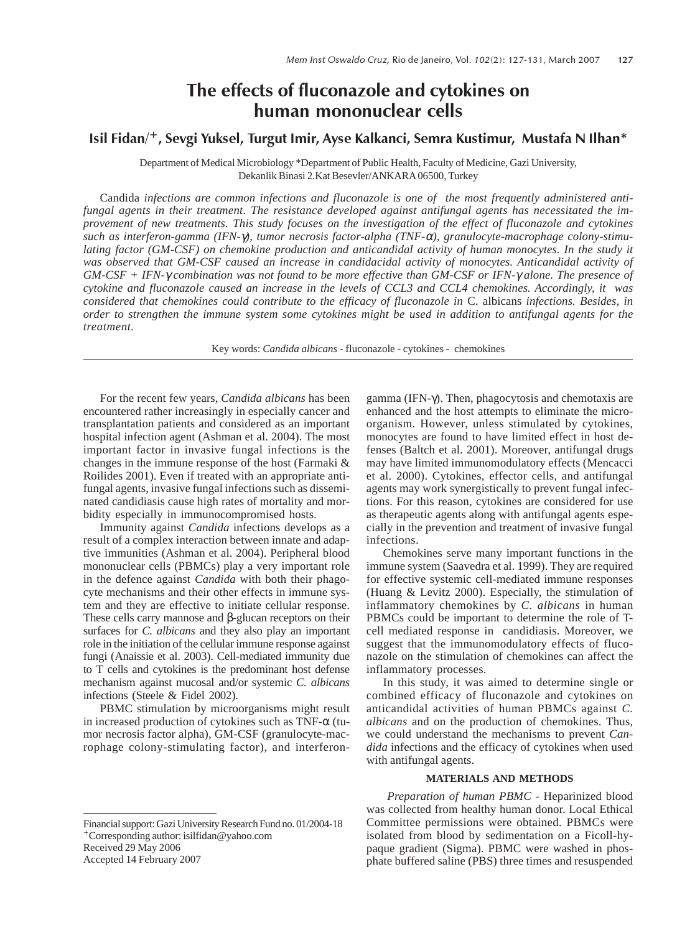# The effects of fluconazole and cytokines on human mononuclear cells

# Isil Fidan/+, Sevgi Yuksel, Turgut Imir, Ayse Kalkanci, Semra Kustimur, Mustafa N Ilhan\*

Department of Medical Microbiology \*Department of Public Health, Faculty of Medicine, Gazi University, Dekanlik Binasi 2.Kat Besevler/ANKARA 06500, Turkey

Candida *infections are common infections and fluconazole is one of the most frequently administered antifungal agents in their treatment. The resistance developed against antifungal agents has necessitated the improvement of new treatments. This study focuses on the investigation of the effect of fluconazole and cytokines such as interferon-gamma (IFN-*γ*), tumor necrosis factor-alpha (TNF-*α*), granulocyte-macrophage colony-stimulating factor (GM-CSF) on chemokine production and anticandidal activity of human monocytes. In the study it was observed that GM-CSF caused an increase in candidacidal activity of monocytes. Anticandidal activity of GM-CSF + IFN-*γ *combination was not found to be more effective than GM-CSF or IFN-*γ *alone. The presence of cytokine and fluconazole caused an increase in the levels of CCL3 and CCL4 chemokines. Accordingly, it was considered that chemokines could contribute to the efficacy of fluconazole in* C. albicans *infections. Besides, in order to strengthen the immune system some cytokines might be used in addition to antifungal agents for the treatment.*

Key words: *Candida albicans* - fluconazole - cytokines - chemokines

For the recent few years, *Candida albicans* has been encountered rather increasingly in especially cancer and transplantation patients and considered as an important hospital infection agent (Ashman et al. 2004). The most important factor in invasive fungal infections is the changes in the immune response of the host (Farmaki & Roilides 2001). Even if treated with an appropriate antifungal agents, invasive fungal infections such as disseminated candidiasis cause high rates of mortality and morbidity especially in immunocompromised hosts.

Immunity against *Candida* infections develops as a result of a complex interaction between innate and adaptive immunities (Ashman et al. 2004). Peripheral blood mononuclear cells (PBMCs) play a very important role in the defence against *Candida* with both their phagocyte mechanisms and their other effects in immune system and they are effective to initiate cellular response. These cells carry mannose and β-glucan receptors on their surfaces for *C. albicans* and they also play an important role in the initiation of the cellular immune response against fungi (Anaissie et al. 2003). Cell-mediated immunity due to T cells and cytokines is the predominant host defense mechanism against mucosal and/or systemic *C. albicans* infections (Steele & Fidel 2002).

PBMC stimulation by microorganisms might result in increased production of cytokines such as TNF-α (tumor necrosis factor alpha), GM-CSF (granulocyte-macrophage colony-stimulating factor), and interferongamma (IFN-γ). Then, phagocytosis and chemotaxis are enhanced and the host attempts to eliminate the microorganism. However, unless stimulated by cytokines, monocytes are found to have limited effect in host defenses (Baltch et al. 2001). Moreover, antifungal drugs may have limited immunomodulatory effects (Mencacci et al. 2000). Cytokines, effector cells, and antifungal agents may work synergistically to prevent fungal infections. For this reason, cytokines are considered for use as therapeutic agents along with antifungal agents especially in the prevention and treatment of invasive fungal infections.

Chemokines serve many important functions in the immune system (Saavedra et al. 1999). They are required for effective systemic cell-mediated immune responses (Huang & Levitz 2000). Especially, the stimulation of inflammatory chemokines by *C. albicans* in human PBMCs could be important to determine the role of Tcell mediated response in candidiasis. Moreover, we suggest that the immunomodulatory effects of fluconazole on the stimulation of chemokines can affect the inflammatory processes.

In this study, it was aimed to determine single or combined efficacy of fluconazole and cytokines on anticandidal activities of human PBMCs against *C. albicans* and on the production of chemokines. Thus, we could understand the mechanisms to prevent *Candida* infections and the efficacy of cytokines when used with antifungal agents.

## **MATERIALS AND METHODS**

 *Preparation of human PBMC -* Heparinized blood was collected from healthy human donor. Local Ethical Committee permissions were obtained. PBMCs were isolated from blood by sedimentation on a Ficoll-hypaque gradient (Sigma). PBMC were washed in phosphate buffered saline (PBS) three times and resuspended

Financial support: Gazi University Research Fund no. 01/2004-18 *<sup>+</sup>*Corresponding author: isilfidan@yahoo.com Received 29 May 2006 Accepted 14 February 2007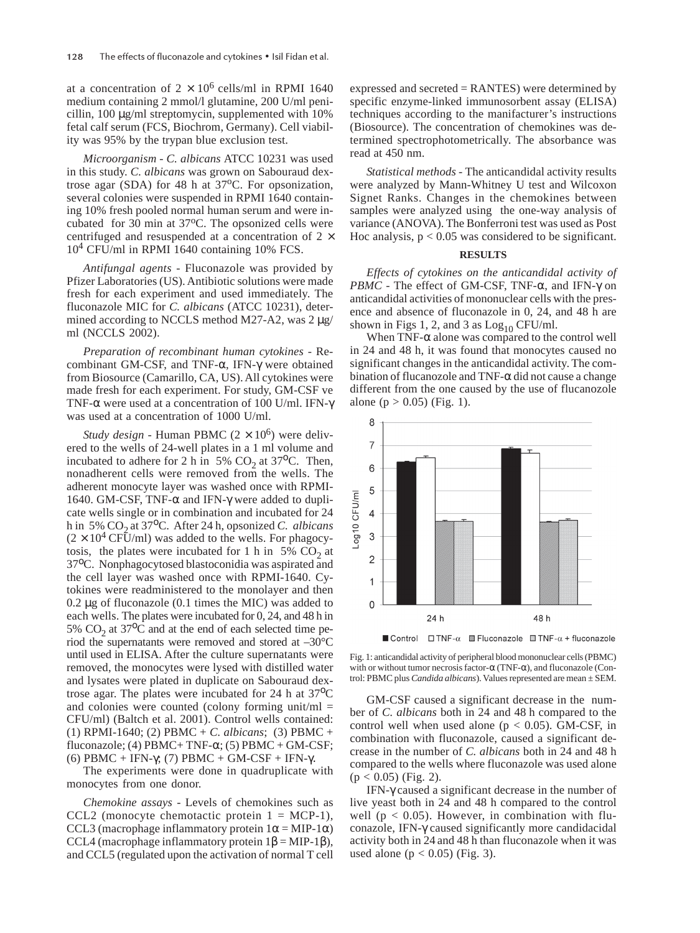at a concentration of  $2 \times 10^6$  cells/ml in RPMI 1640 medium containing 2 mmol/l glutamine, 200 U/ml penicillin, 100 µg/ml streptomycin, supplemented with 10% fetal calf serum (FCS, Biochrom, Germany). Cell viability was 95% by the trypan blue exclusion test.

*Microorganism - C. albicans* ATCC 10231 was used in this study. *C. albicans* was grown on Sabouraud dextrose agar (SDA) for 48 h at  $37^{\circ}$ C. For opsonization, several colonies were suspended in RPMI 1640 containing 10% fresh pooled normal human serum and were incubated for 30 min at 37°C. The opsonized cells were centrifuged and resuspended at a concentration of  $2 \times$ 104 CFU/ml in RPMI 1640 containing 10% FCS.

*Antifungal agents -* Fluconazole was provided by Pfizer Laboratories (US). Antibiotic solutions were made fresh for each experiment and used immediately. The fluconazole MIC for *C. albicans* (ATCC 10231), determined according to NCCLS method M27-A2, was  $2 \mu$ g/ ml (NCCLS 2002).

*Preparation of recombinant human cytokines -* Recombinant GM-CSF, and TNF-α, IFN-γ were obtained from Biosource (Camarillo, CA, US). All cytokines were made fresh for each experiment. For study, GM-CSF ve TNF-α were used at a concentration of 100 U/ml. IFN-γ was used at a concentration of 1000 U/ml.

*Study design* - Human PBMC  $(2 \times 10^6)$  were delivered to the wells of 24-well plates in a 1 ml volume and incubated to adhere for 2 h in 5%  $CO<sub>2</sub>$  at 37<sup>o</sup>C. Then, nonadherent cells were removed from the wells. The adherent monocyte layer was washed once with RPMI-1640. GM-CSF, TNF- $\alpha$  and IFN- $\gamma$  were added to duplicate wells single or in combination and incubated for 24 h in 5% CO<sub>2</sub> at 37<sup>o</sup>C. After 24 h, opsonized *C. albicans*  $(2 \times 10^4 \text{ CFU/ml})$  was added to the wells. For phagocytosis, the plates were incubated for 1 h in 5%  $CO<sub>2</sub>$  at 37οC. Nonphagocytosed blastoconidia was aspirated and the cell layer was washed once with RPMI-1640. Cytokines were readministered to the monolayer and then 0.2 µg of fluconazole (0.1 times the MIC) was added to each wells. The plates were incubated for 0, 24, and 48 h in 5%  $CO<sub>2</sub>$  at 37<sup>o</sup>C and at the end of each selected time period the supernatants were removed and stored at –30°C until used in ELISA. After the culture supernatants were removed, the monocytes were lysed with distilled water and lysates were plated in duplicate on Sabouraud dextrose agar. The plates were incubated for 24 h at 37<sup>o</sup>C and colonies were counted (colony forming unit/ml  $=$ CFU/ml) (Baltch et al. 2001). Control wells contained: (1) RPMI-1640; (2) PBMC + *C. albicans*; (3) PBMC + fluconazole; (4) PBMC + TNF- $\alpha$ ; (5) PBMC + GM-CSF; (6) PBMC + IFN-γ; (7) PBMC + GM-CSF + IFN-γ.

The experiments were done in quadruplicate with monocytes from one donor.

*Chemokine assays -* Levels of chemokines such as CCL2 (monocyte chemotactic protein  $1 = MCP-1$ ), CCL3 (macrophage inflammatory protein  $1\alpha = MIP-1\alpha$ ) CCL4 (macrophage inflammatory protein  $1β = MIP-1β$ ), and CCL5 (regulated upon the activation of normal T cell expressed and secreted = RANTES) were determined by specific enzyme-linked immunosorbent assay (ELISA) techniques according to the manifacturer's instructions (Biosource). The concentration of chemokines was determined spectrophotometrically. The absorbance was read at 450 nm.

*Statistical methods -* The anticandidal activity results were analyzed by Mann-Whitney U test and Wilcoxon Signet Ranks. Changes in the chemokines between samples were analyzed using the one-way analysis of variance (ANOVA). The Bonferroni test was used as Post Hoc analysis,  $p < 0.05$  was considered to be significant.

### **RESULTS**

*Effects of cytokines on the anticandidal activity of PBMC* - The effect of GM-CSF, TNF-α, and IFN-γ on anticandidal activities of mononuclear cells with the presence and absence of fluconazole in 0, 24, and 48 h are shown in Figs 1, 2, and 3 as  $Log<sub>10</sub> CFU/ml$ .

When  $TNF-\alpha$  alone was compared to the control well in 24 and 48 h, it was found that monocytes caused no significant changes in the anticandidal activity. The combination of flucanozole and  $TNF-\alpha$  did not cause a change different from the one caused by the use of flucanozole alone ( $p > 0.05$ ) (Fig. 1).



■ Control  $\square$  TNF-α  $\boxtimes$  Fluconazole  $\boxtimes$  TNF-α + fluconazole

Fig. 1: anticandidal activity of peripheral blood mononuclear cells (PBMC) with or without tumor necrosis factor-α (TNF-α), and fluconazole (Control: PBMC plus *Candida albicans*). Values represented are mean ± SEM.

GM-CSF caused a significant decrease in the number of *C. albicans* both in 24 and 48 h compared to the control well when used alone ( $p < 0.05$ ). GM-CSF, in combination with fluconazole, caused a significant decrease in the number of *C. albicans* both in 24 and 48 h compared to the wells where fluconazole was used alone  $(p < 0.05)$  (Fig. 2).

IFN-γ caused a significant decrease in the number of live yeast both in 24 and 48 h compared to the control well ( $p < 0.05$ ). However, in combination with fluconazole, IFN-γ caused significantly more candidacidal activity both in 24 and 48 h than fluconazole when it was used alone ( $p < 0.05$ ) (Fig. 3).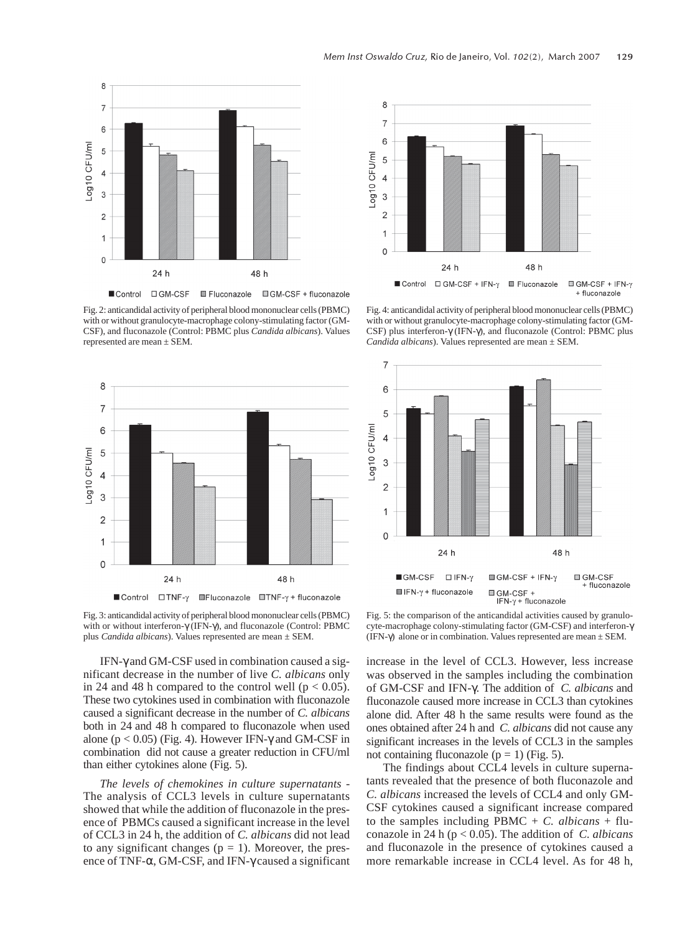

Fig. 2: anticandidal activity of peripheral blood mononuclear cells (PBMC) with or without granulocyte-macrophage colony-stimulating factor (GM-CSF), and fluconazole (Control: PBMC plus *Candida albicans*). Values represented are mean ± SEM.





Fig. 4: anticandidal activity of peripheral blood mononuclear cells (PBMC) with or without granulocyte-macrophage colony-stimulating factor (GM-CSF) plus interferon-γ (IFN-γ), and fluconazole (Control: PBMC plus *Candida albicans*). Values represented are mean ± SEM.



Fig. 3: anticandidal activity of peripheral blood mononuclear cells (PBMC) with or without interferon-γ (IFN-γ), and fluconazole (Control: PBMC plus *Candida albicans*). Values represented are mean ± SEM.

Fig. 5: the comparison of the anticandidal activities caused by granulocyte-macrophage colony-stimulating factor (GM-CSF) and interferon-γ (IFN- $\gamma$ ) alone or in combination. Values represented are mean  $\pm$  SEM.

IFN-γ and GM-CSF used in combination caused a significant decrease in the number of live *C. albicans* only in 24 and 48 h compared to the control well ( $p < 0.05$ ). These two cytokines used in combination with fluconazole caused a significant decrease in the number of *C. albicans* both in 24 and 48 h compared to fluconazole when used alone ( $p < 0.05$ ) (Fig. 4). However IFN- $\gamma$  and GM-CSF in combination did not cause a greater reduction in CFU/ml than either cytokines alone (Fig. 5).

*The levels of chemokines in culture supernatants -* The analysis of CCL3 levels in culture supernatants showed that while the addition of fluconazole in the presence of PBMCs caused a significant increase in the level of CCL3 in 24 h, the addition of *C. albicans* did not lead to any significant changes ( $p = 1$ ). Moreover, the presence of TNF-α, GM-CSF, and IFN-γ caused a significant increase in the level of CCL3. However, less increase was observed in the samples including the combination of GM-CSF and IFN-γ. The addition of *C. albicans* and fluconazole caused more increase in CCL3 than cytokines alone did. After 48 h the same results were found as the ones obtained after 24 h and *C. albicans* did not cause any significant increases in the levels of CCL3 in the samples not containing fluconazole ( $p = 1$ ) (Fig. 5).

The findings about CCL4 levels in culture supernatants revealed that the presence of both fluconazole and *C. albicans* increased the levels of CCL4 and only GM-CSF cytokines caused a significant increase compared to the samples including PBMC  $+ C$ . *albicans*  $+$  fluconazole in 24 h (p < 0.05). The addition of *C. albicans* and fluconazole in the presence of cytokines caused a more remarkable increase in CCL4 level. As for 48 h,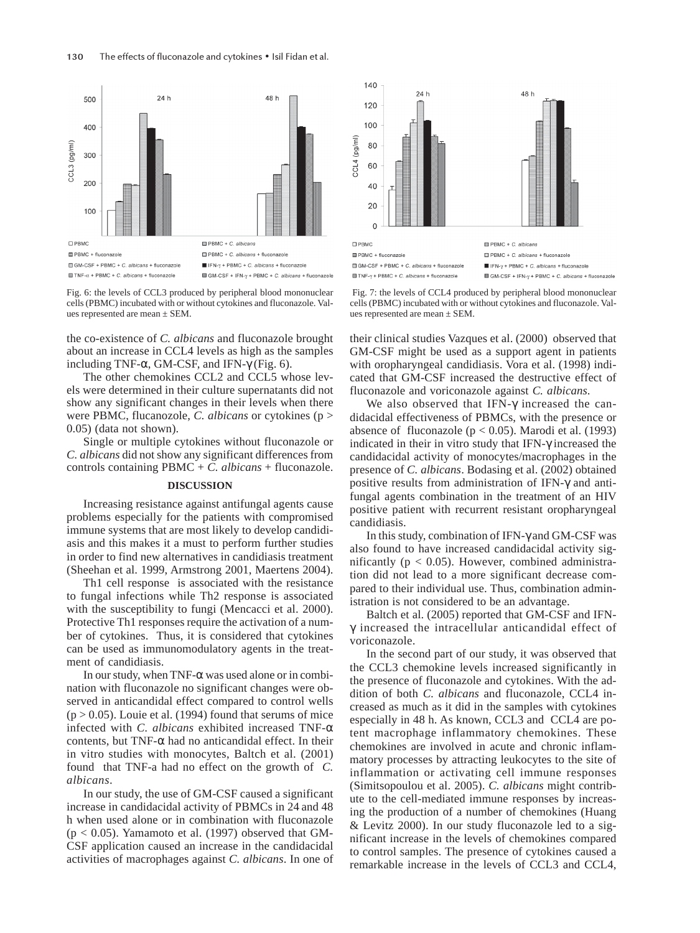

Fig. 6: the levels of CCL3 produced by peripheral blood mononuclear cells (PBMC) incubated with or without cytokines and fluconazole. Values represented are mean ± SEM.

the co-existence of *C. albicans* and fluconazole brought about an increase in CCL4 levels as high as the samples including TNF- $\alpha$ , GM-CSF, and IFN- $\gamma$  (Fig. 6).

The other chemokines CCL2 and CCL5 whose levels were determined in their culture supernatants did not show any significant changes in their levels when there were PBMC, flucanozole, *C. albicans* or cytokines (p > 0.05) (data not shown).

Single or multiple cytokines without fluconazole or *C. albicans* did not show any significant differences from controls containing PBMC + *C. albicans* + fluconazole.

#### **DISCUSSION**

Increasing resistance against antifungal agents cause problems especially for the patients with compromised immune systems that are most likely to develop candidiasis and this makes it a must to perform further studies in order to find new alternatives in candidiasis treatment (Sheehan et al. 1999, Armstrong 2001, Maertens 2004).

Th1 cell response is associated with the resistance to fungal infections while Th2 response is associated with the susceptibility to fungi (Mencacci et al. 2000). Protective Th1 responses require the activation of a number of cytokines. Thus, it is considered that cytokines can be used as immunomodulatory agents in the treatment of candidiasis.

In our study, when TNF-α was used alone or in combination with fluconazole no significant changes were observed in anticandidal effect compared to control wells  $(p > 0.05)$ . Louie et al. (1994) found that serums of mice infected with *C. albicans* exhibited increased TNF-α contents, but TNF- $\alpha$  had no anticandidal effect. In their in vitro studies with monocytes, Baltch et al. (2001) found that TNF-a had no effect on the growth of *C. albicans*.

In our study, the use of GM-CSF caused a significant increase in candidacidal activity of PBMCs in 24 and 48 h when used alone or in combination with fluconazole  $(p < 0.05)$ . Yamamoto et al. (1997) observed that GM-CSF application caused an increase in the candidacidal activities of macrophages against *C. albicans*. In one of



Fig. 7: the levels of CCL4 produced by peripheral blood mononuclear cells (PBMC) incubated with or without cytokines and fluconazole. Values represented are mean ± SEM.

their clinical studies Vazques et al. (2000) observed that GM-CSF might be used as a support agent in patients with oropharyngeal candidiasis. Vora et al. (1998) indicated that GM-CSF increased the destructive effect of fluconazole and voriconazole against *C. albicans*.

We also observed that IFN-γ increased the candidacidal effectiveness of PBMCs, with the presence or absence of fluconazole ( $p < 0.05$ ). Marodi et al. (1993) indicated in their in vitro study that IFN-γ increased the candidacidal activity of monocytes/macrophages in the presence of *C. albicans*. Bodasing et al. (2002) obtained positive results from administration of IFN-γ and antifungal agents combination in the treatment of an HIV positive patient with recurrent resistant oropharyngeal candidiasis.

In this study, combination of IFN-γ and GM-CSF was also found to have increased candidacidal activity significantly ( $p < 0.05$ ). However, combined administration did not lead to a more significant decrease compared to their individual use. Thus, combination administration is not considered to be an advantage.

Baltch et al. (2005) reported that GM-CSF and IFNγ increased the intracellular anticandidal effect of voriconazole.

In the second part of our study, it was observed that the CCL3 chemokine levels increased significantly in the presence of fluconazole and cytokines. With the addition of both *C. albicans* and fluconazole, CCL4 increased as much as it did in the samples with cytokines especially in 48 h. As known, CCL3 and CCL4 are potent macrophage inflammatory chemokines. These chemokines are involved in acute and chronic inflammatory processes by attracting leukocytes to the site of inflammation or activating cell immune responses (Simitsopoulou et al. 2005). *C. albicans* might contribute to the cell-mediated immune responses by increasing the production of a number of chemokines (Huang & Levitz 2000). In our study fluconazole led to a significant increase in the levels of chemokines compared to control samples. The presence of cytokines caused a remarkable increase in the levels of CCL3 and CCL4,